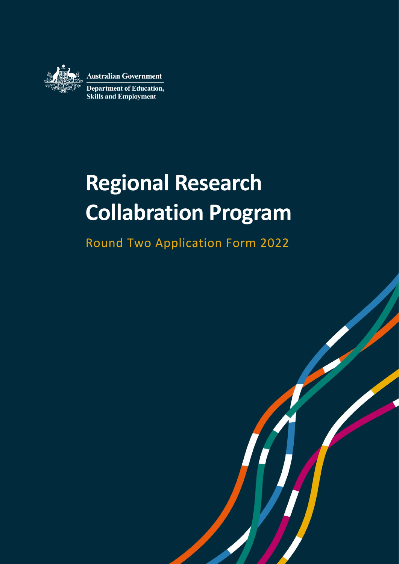

**Australian Government** 

**Department of Education, Skills and Employment** 

# **Regional Research Collabration Program**

Round Two Application Form 2022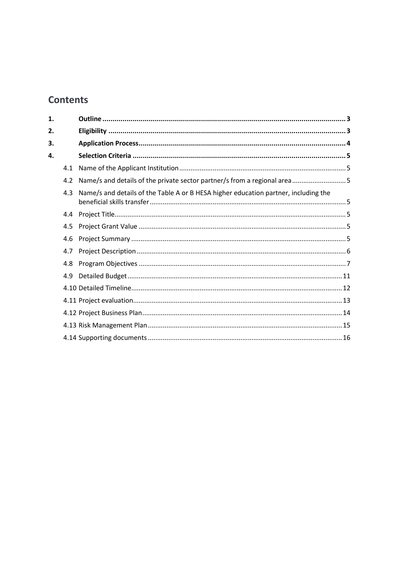# **Contents**

| 1. |     |                                                                                     |  |
|----|-----|-------------------------------------------------------------------------------------|--|
| 2. |     |                                                                                     |  |
| 3. |     |                                                                                     |  |
| 4. |     |                                                                                     |  |
|    | 4.1 |                                                                                     |  |
|    | 4.2 |                                                                                     |  |
|    | 4.3 | Name/s and details of the Table A or B HESA higher education partner, including the |  |
|    | 4.4 |                                                                                     |  |
|    | 4.5 |                                                                                     |  |
|    | 4.6 |                                                                                     |  |
|    | 4.7 |                                                                                     |  |
|    | 4.8 |                                                                                     |  |
|    | 4.9 |                                                                                     |  |
|    |     |                                                                                     |  |
|    |     |                                                                                     |  |
|    |     |                                                                                     |  |
|    |     |                                                                                     |  |
|    |     |                                                                                     |  |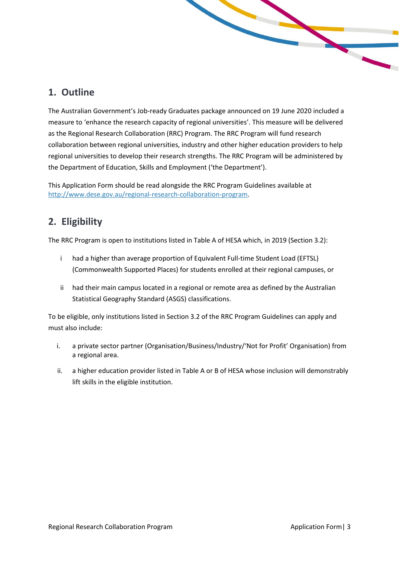# <span id="page-2-0"></span>**1. Outline**

The Australian Government's Job-ready Graduates package announced on 19 June 2020 included a measure to 'enhance the research capacity of regional universities'. This measure will be delivered as the Regional Research Collaboration (RRC) Program. The RRC Program will fund research collaboration between regional universities, industry and other higher education providers to help regional universities to develop their research strengths. The RRC Program will be administered by the Department of Education, Skills and Employment ('the Department').

This Application Form should be read alongside the RRC Program Guidelines available at [http://www.dese.gov.au/regional-research-collaboration-program.](http://www.dese.gov.au/regional-research-collaboration-program)

# <span id="page-2-1"></span>**2. Eligibility**

The RRC Program is open to institutions listed in Table A of HESA which, in 2019 (Section 3.2):

- i had a higher than average proportion of Equivalent Full-time Student Load (EFTSL) (Commonwealth Supported Places) for students enrolled at their regional campuses, or
- ii had their main campus located in a regional or remote area as defined by the Australian Statistical Geography Standard (ASGS) classifications.

To be eligible, only institutions listed in Section 3.2 of the RRC Program Guidelines can apply and must also include:

- i. a private sector partner (Organisation/Business/Industry/'Not for Profit' Organisation) from a regional area.
- ii. a higher education provider listed in Table A or B of HESA whose inclusion will demonstrably lift skills in the eligible institution.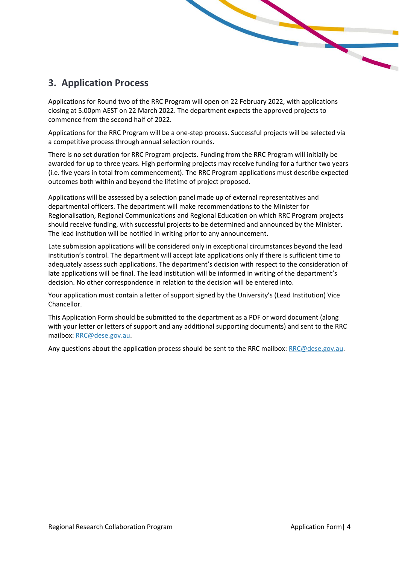# <span id="page-3-0"></span>**3. Application Process**

Applications for Round two of the RRC Program will open on 22 February 2022, with applications closing at 5.00pm AEST on 22 March 2022. The department expects the approved projects to commence from the second half of 2022.

Applications for the RRC Program will be a one-step process. Successful projects will be selected via a competitive process through annual selection rounds.

There is no set duration for RRC Program projects. Funding from the RRC Program will initially be awarded for up to three years. High performing projects may receive funding for a further two years (i.e. five years in total from commencement). The RRC Program applications must describe expected outcomes both within and beyond the lifetime of project proposed.

Applications will be assessed by a selection panel made up of external representatives and departmental officers. The department will make recommendations to the Minister for Regionalisation, Regional Communications and Regional Education on which RRC Program projects should receive funding, with successful projects to be determined and announced by the Minister. The lead institution will be notified in writing prior to any announcement.

Late submission applications will be considered only in exceptional circumstances beyond the lead institution's control. The department will accept late applications only if there is sufficient time to adequately assess such applications. The department's decision with respect to the consideration of late applications will be final. The lead institution will be informed in writing of the department's decision. No other correspondence in relation to the decision will be entered into.

Your application must contain a letter of support signed by the University's (Lead Institution) Vice Chancellor.

This Application Form should be submitted to the department as a PDF or word document (along with your letter or letters of support and any additional supporting documents) and sent to the RRC mailbox: [RRC@dese.gov.au.](mailto:SURF@dese.gov.au)

Any questions about the application process should be sent to the RRC mailbox: [RRC@dese.gov.au.](mailto:RRC@dese.gov.au)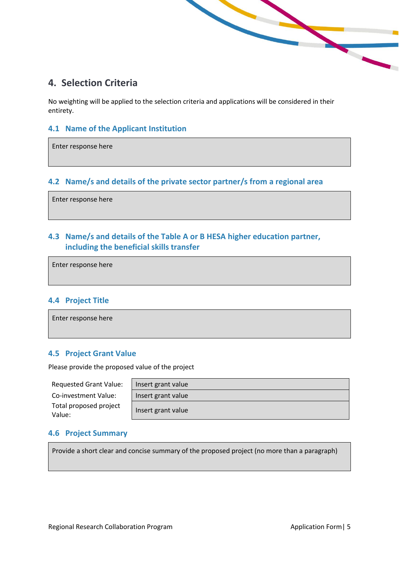# <span id="page-4-0"></span>**4. Selection Criteria**

No weighting will be applied to the selection criteria and applications will be considered in their entirety.

<u>restrict to</u>

#### <span id="page-4-1"></span>**4.1 Name of the Applicant Institution**

Enter response here

## <span id="page-4-2"></span>**4.2 Name/s and details of the private sector partner/s from a regional area**

Enter response here

# <span id="page-4-3"></span>**4.3 Name/s and details of the Table A or B HESA higher education partner, including the beneficial skills transfer**

Enter response here

#### <span id="page-4-4"></span>**4.4 Project Title**

Enter response here

#### <span id="page-4-5"></span>**4.5 Project Grant Value**

Please provide the proposed value of the project

| <b>Requested Grant Value:</b>    | Insert grant value |  |
|----------------------------------|--------------------|--|
| Co-investment Value:             | Insert grant value |  |
| Total proposed project<br>Value: | Insert grant value |  |

| Insert grant value |
|--------------------|
| Insert grant value |
| Insert grant value |

## <span id="page-4-6"></span>**4.6 Project Summary**

Provide a short clear and concise summary of the proposed project (no more than a paragraph)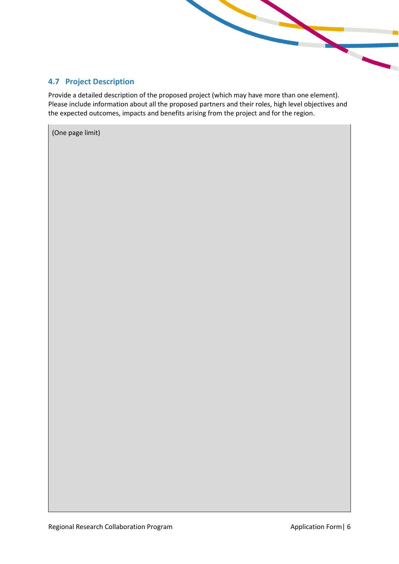## <span id="page-5-0"></span>**4.7 Project Description**

Provide a detailed description of the proposed project (which may have more than one element). Please include information about all the proposed partners and their roles, high level objectives and the expected outcomes, impacts and benefits arising from the project and for the region.

(One page limit)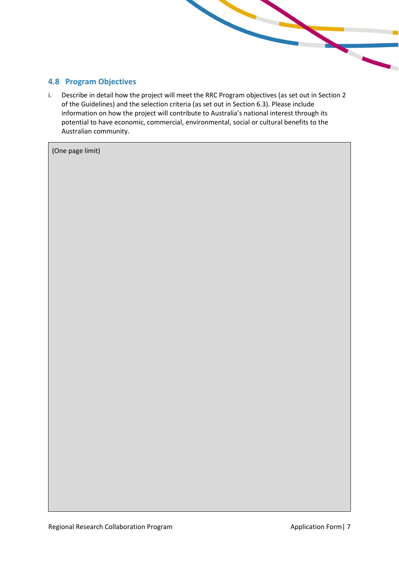#### <span id="page-6-0"></span>**4.8 Program Objectives**

i. Describe in detail how the project will meet the RRC Program objectives (as set out in Section 2 of the Guidelines) and the selection criteria (as set out in Section 6.3). Please include information on how the project will contribute to Australia's national interest through its potential to have economic, commercial, environmental, social or cultural benefits to the Australian community.

(One page limit)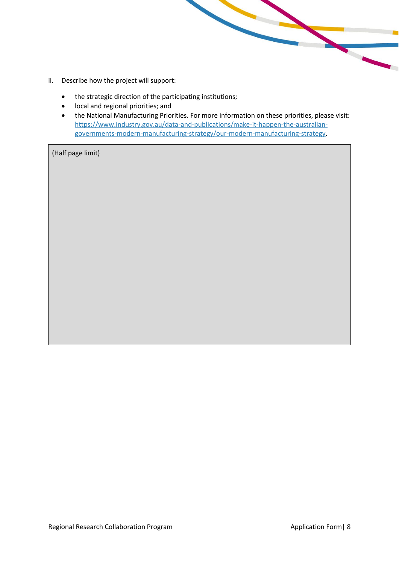- ii. Describe how the project will support:
	- the strategic direction of the participating institutions;
	- local and regional priorities; and
	- the National Manufacturing Priorities. For more information on these priorities, please visit: [https://www.industry.gov.au/data-and-publications/make-it-happen-the-australian](https://www.industry.gov.au/data-and-publications/make-it-happen-the-australian-governments-modern-manufacturing-strategy/our-modern-manufacturing-strategy)[governments-modern-manufacturing-strategy/our-modern-manufacturing-strategy.](https://www.industry.gov.au/data-and-publications/make-it-happen-the-australian-governments-modern-manufacturing-strategy/our-modern-manufacturing-strategy)

**Contract Contract Contract Contract**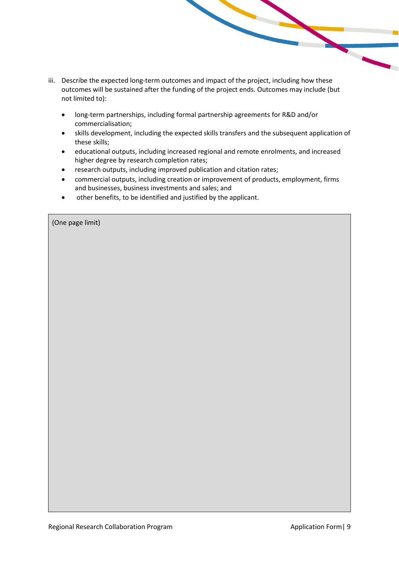- iii. Describe the expected long-term outcomes and impact of the project, including how these outcomes will be sustained after the funding of the project ends. Outcomes may include (but not limited to):
	- long-term partnerships, including formal partnership agreements for R&D and/or commercialisation;
	- skills development, including the expected skills transfers and the subsequent application of these skills;
	- educational outputs, including increased regional and remote enrolments, and increased higher degree by research completion rates;
	- research outputs, including improved publication and citation rates;
	- commercial outputs, including creation or improvement of products, employment, firms and businesses, business investments and sales; and
	- other benefits, to be identified and justified by the applicant.

| (One page limit) |  |
|------------------|--|
|------------------|--|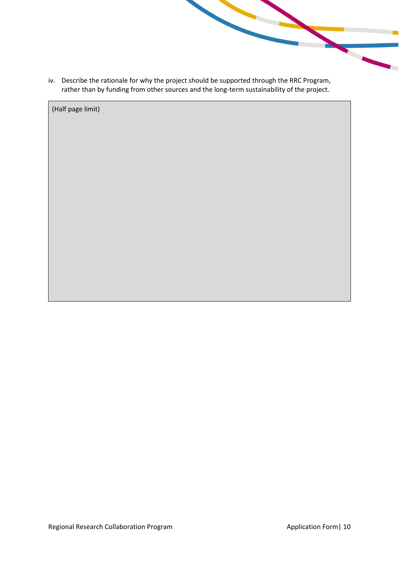iv. Describe the rationale for why the project should be supported through the RRC Program, rather than by funding from other sources and the long-term sustainability of the project.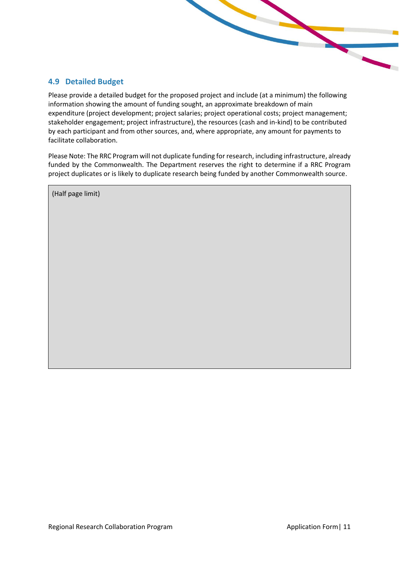## <span id="page-10-0"></span>**4.9 Detailed Budget**

Please provide a detailed budget for the proposed project and include (at a minimum) the following information showing the amount of funding sought, an approximate breakdown of main expenditure (project development; project salaries; project operational costs; project management; stakeholder engagement; project infrastructure), the resources (cash and in-kind) to be contributed by each participant and from other sources, and, where appropriate, any amount for payments to facilitate collaboration.

Please Note: The RRC Program will not duplicate funding for research, including infrastructure, already funded by the Commonwealth. The Department reserves the right to determine if a RRC Program project duplicates or is likely to duplicate research being funded by another Commonwealth source.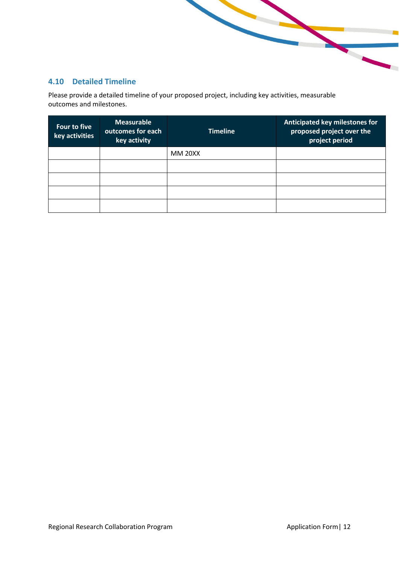## <span id="page-11-0"></span>**4.10 Detailed Timeline**

Please provide a detailed timeline of your proposed project, including key activities, measurable outcomes and milestones.

| Four to five<br>key activities | <b>Measurable</b><br>outcomes for each<br>key activity | <b>Timeline</b> | Anticipated key milestones for<br>proposed project over the<br>project period |
|--------------------------------|--------------------------------------------------------|-----------------|-------------------------------------------------------------------------------|
|                                |                                                        | <b>MM 20XX</b>  |                                                                               |
|                                |                                                        |                 |                                                                               |
|                                |                                                        |                 |                                                                               |
|                                |                                                        |                 |                                                                               |
|                                |                                                        |                 |                                                                               |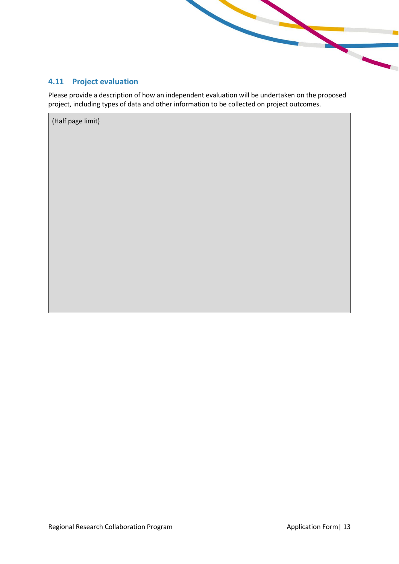<span id="page-12-0"></span>

Please provide a description of how an independent evaluation will be undertaken on the proposed project, including types of data and other information to be collected on project outcomes.

**Contract Contract Contract Contract**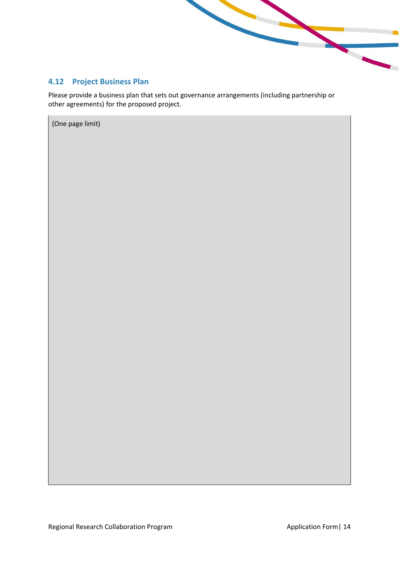

# <span id="page-13-0"></span>**4.12 Project Business Plan**

Please provide a business plan that sets out governance arrangements (including partnership or other agreements) for the proposed project.

(One page limit)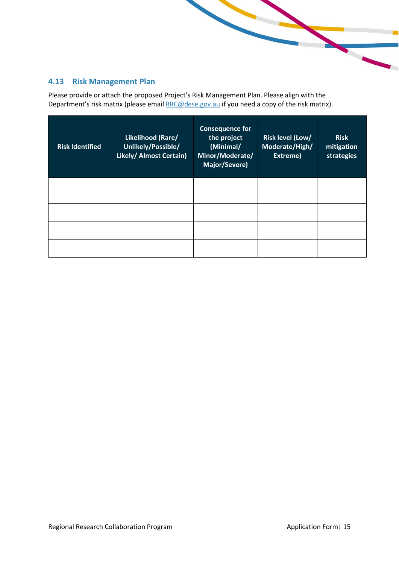# <span id="page-14-0"></span>**4.13 Risk Management Plan**

Please provide or attach the proposed Project's Risk Management Plan. Please align with the Department's risk matrix (please email [RRC@dese.gov.au](mailto:RRC@dese.gov.au) if you need a copy of the risk matrix).

| <b>Risk Identified</b> | Likelihood (Rare/<br>Unlikely/Possible/<br>Likely/ Almost Certain) | <b>Consequence for</b><br>the project<br>(Minimal/<br>Minor/Moderate/<br>Major/Severe) | Risk level (Low/<br>Moderate/High/<br>Extreme) | <b>Risk</b><br>mitigation<br>strategies |
|------------------------|--------------------------------------------------------------------|----------------------------------------------------------------------------------------|------------------------------------------------|-----------------------------------------|
|                        |                                                                    |                                                                                        |                                                |                                         |
|                        |                                                                    |                                                                                        |                                                |                                         |
|                        |                                                                    |                                                                                        |                                                |                                         |
|                        |                                                                    |                                                                                        |                                                |                                         |